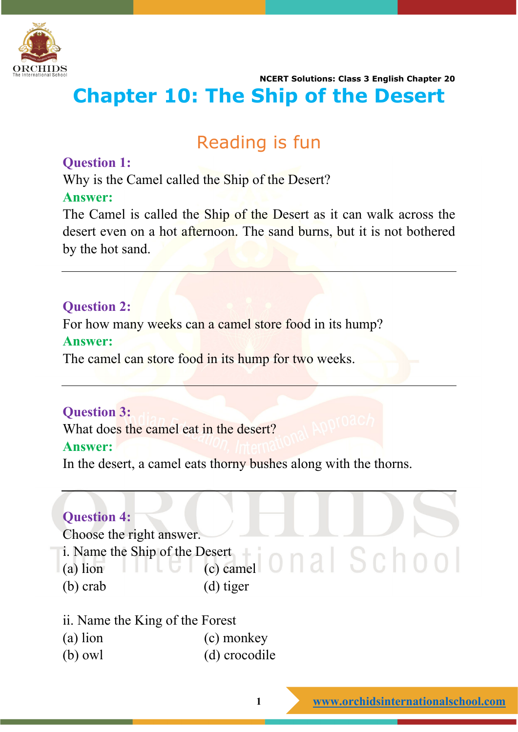

 **NCERT Solutions: Class 3 English Chapter 20 Chapter 10: The Ship of the Desert**

## Reading is fun

### **Question 1:**

Why is the Camel called the Ship of the Desert?

### **Answer:**

The Camel is called the Ship of the Desert as it can walk across the desert even on a hot afternoon. The sand burns, but it is not bothered by the hot sand.

## **Question 2:**

For how many weeks can a camel store food in its hump?

#### **Answer:**

The camel can store food in its hump for two weeks.

## **Question 3:**

What does the camel eat in the desert?

#### **Answer:**

In the desert, a camel eats thorny bushes along with the thorns.

## **Question 4:**

Choose the right answer.

- i. Name the Ship of the Desert
- (a) lion  $\Box$   $\Box$  (c) camel
- (b) crab (d) tiger
- ii. Name the King of the Forest
- (a) lion (c) monkey
- (b) owl (d) crocodile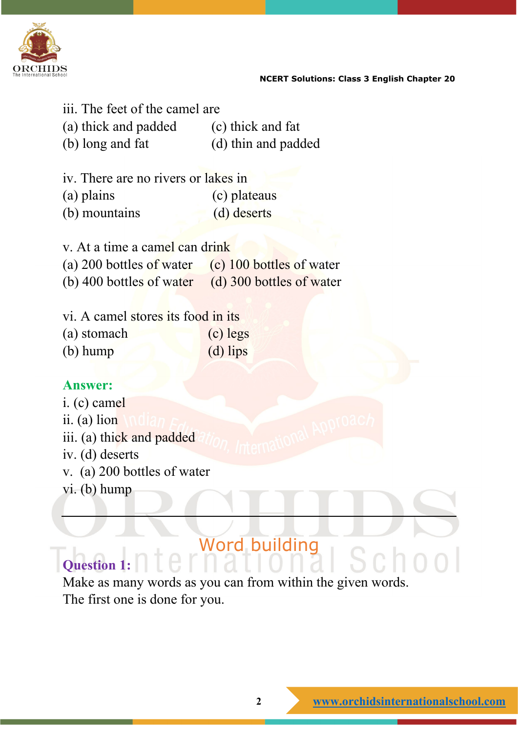

- iii. The feet of the camel are
- (a) thick and padded (c) thick and fat (b) long and fat (d) thin and padded
- iv. There are no rivers or lakes in
- (a) plains (c) plateaus
- (b) mountains (d) deserts
- v. At a time a camel can drink
- (a) 200 bottles of water  $\left( c \right)$  100 bottles of water
- (b) 400 bottles of water (d) 300 bottles of water
- vi. A camel stores its food in its
- (a) stomach (c) legs (b) hump (d) lips

## **Answer:**

- i. (c) camel
- ii. (a) lion
- iii. (a) thick and padded
- iv. (d) deserts
- v. (a) 200 bottles of water
- vi. (b) hump

# Word building

## **Question 1:**

Make as many words as you can from within the given words. The first one is done for you.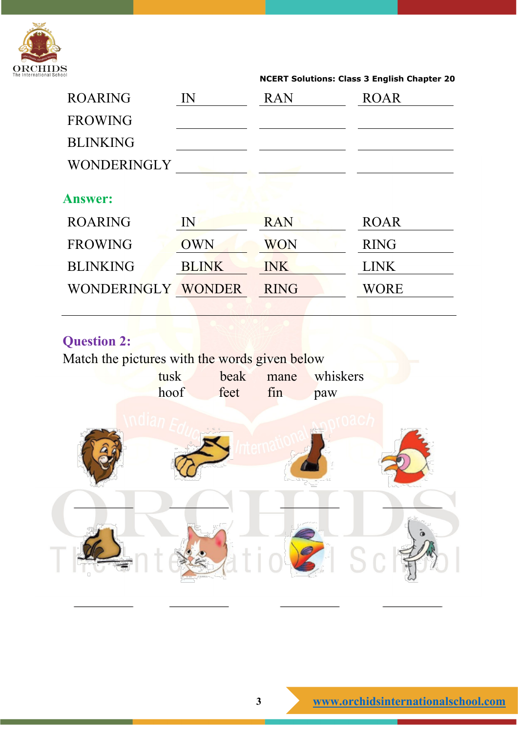

| <b>ROARING</b>     | $\mathbb{N}$ | <b>RAN</b>  | <b>ROAR</b> |
|--------------------|--------------|-------------|-------------|
| <b>FROWING</b>     |              |             |             |
| <b>BLINKING</b>    |              |             |             |
| WONDERINGLY        |              |             |             |
| <b>Answer:</b>     |              |             |             |
| <b>ROARING</b>     | $\mathbf{I}$ | <b>RAN</b>  | <b>ROAR</b> |
| <b>FROWING</b>     | <b>OWN</b>   | <b>WON</b>  | <b>RING</b> |
| <b>BLINKING</b>    | <b>BLINK</b> | <b>INK</b>  | <b>LINK</b> |
| WONDERINGLY WONDER |              | <b>RING</b> | WORE        |

## **Question 2:**

Match the pictures with the words given below

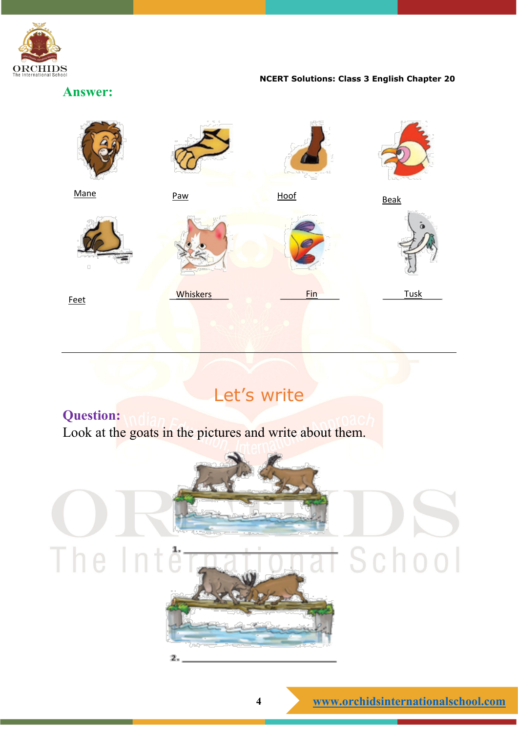

**Answer:**



## Let's write

## **Question:**

Look at the goats in the pictures and write about them.

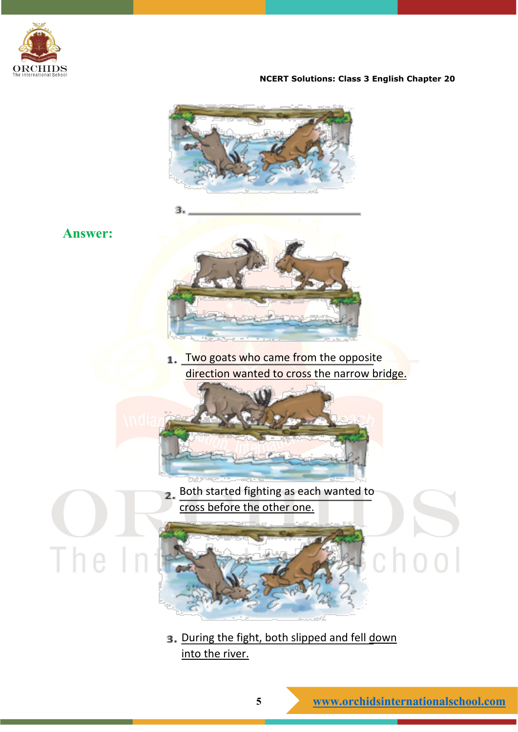





The

я



1. Two goats who came from the opposite direction wanted to cross the narrow bridge.



Both started fighting as each wanted to  $\overline{2}$ . cross before the other one.

## 3. During the fight, both slipped and fell down into the river.

 $c$  hoo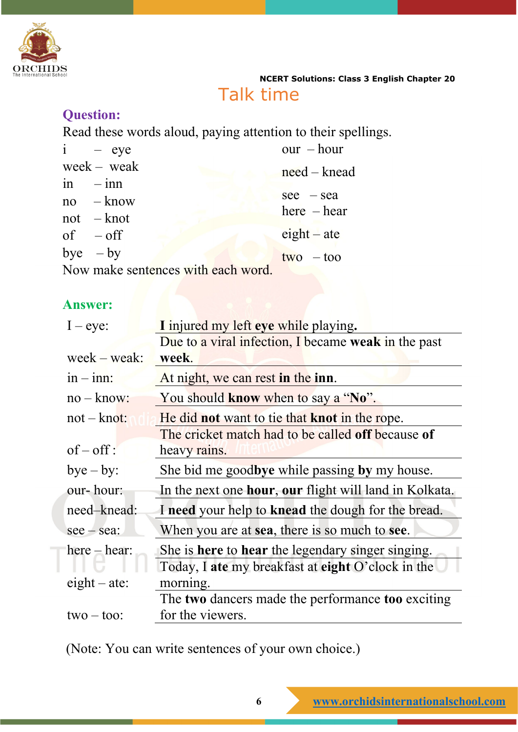

## Talk time

## **Question:**

Read these words aloud, paying attention to their spellings.

| $i - eye$                          | $our - hour$   |
|------------------------------------|----------------|
| $week - weak$                      | $need - kneed$ |
| $\sin$ $-\sin$                     |                |
| $no$ $-$ know                      | $\sec - \sec$  |
| $not$ – knot                       | $here$ - hear  |
| $of -off$                          | $eighth$ – ate |
| bye $-$ by                         | $two - too$    |
| Now make sentences with each word. |                |

## **Answer:**

| $I - eye$ :       | I injured my left eye while playing.                   |  |  |
|-------------------|--------------------------------------------------------|--|--|
|                   | Due to a viral infection, I became weak in the past    |  |  |
| $week - weak:$    | week.                                                  |  |  |
| $in - inn:$       | At night, we can rest in the inn.                      |  |  |
| $no - know:$      | You should know when to say a "No".                    |  |  |
| $not - knot$ :    | He did not want to tie that knot in the rope.          |  |  |
|                   | The cricket match had to be called off because of      |  |  |
| $of-off$ :        | heavy rains.                                           |  |  |
| $bye - by:$       | She bid me goodbye while passing by my house.          |  |  |
| our-hour:         | In the next one hour, our flight will land in Kolkata. |  |  |
| need-knead:       | I need your help to knead the dough for the bread.     |  |  |
| $\sec$ – $\sec$ : | When you are at sea, there is so much to see.          |  |  |
| $here - hear:$    | She is here to hear the legendary singer singing.      |  |  |
|                   | Today, I ate my breakfast at eight O'clock in the      |  |  |
| $eighth$ - ate:   | morning.                                               |  |  |
|                   | The two dancers made the performance too exciting      |  |  |
| $two - too$       | for the viewers.                                       |  |  |
|                   |                                                        |  |  |

(Note: You can write sentences of your own choice.)